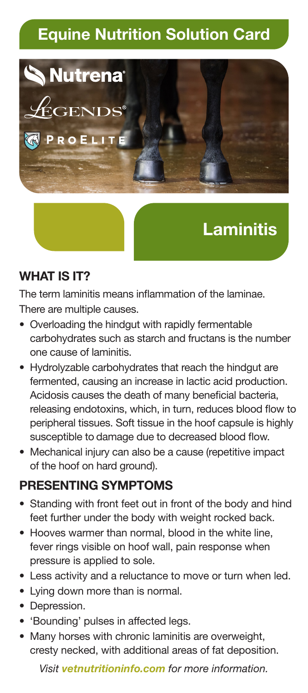## **Equine Nutrition Solution Card**



# **Laminitis**

#### **WHAT IS IT?**

The term laminitis means inflammation of the laminae. There are multiple causes.

- Overloading the hindgut with rapidly fermentable carbohydrates such as starch and fructans is the number one cause of laminitis.
- Hydrolyzable carbohydrates that reach the hindgut are fermented, causing an increase in lactic acid production. Acidosis causes the death of many beneficial bacteria, releasing endotoxins, which, in turn, reduces blood flow to peripheral tissues. Soft tissue in the hoof capsule is highly susceptible to damage due to decreased blood flow.
- Mechanical injury can also be a cause (repetitive impact of the hoof on hard ground).

#### **PRESENTING SYMPTOMS**

- Standing with front feet out in front of the body and hind feet further under the body with weight rocked back.
- Hooves warmer than normal, blood in the white line, fever rings visible on hoof wall, pain response when pressure is applied to sole.
- Less activity and a reluctance to move or turn when led.
- Lying down more than is normal.
- Depression.
- 'Bounding' pulses in affected legs.
- Many horses with chronic laminitis are overweight, cresty necked, with additional areas of fat deposition.

*Visit vetnutritioninfo.com for more information.*